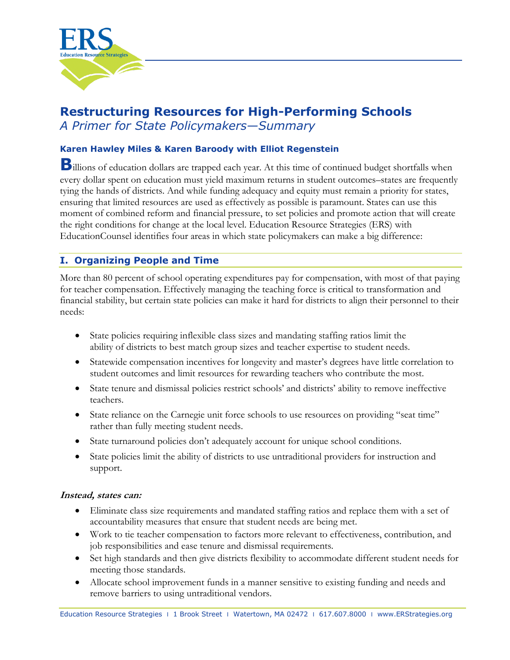

# **Restructuring Resources for High-Performing Schools**

*A Primer for State Policymakers—Summary* 

### **Karen Hawley Miles & Karen Baroody with Elliot Regenstein**

**B**illions of education dollars are trapped each year. At this time of continued budget shortfalls when every dollar spent on education must yield maximum returns in student outcomes–states are frequently tying the hands of districts. And while funding adequacy and equity must remain a priority for states, ensuring that limited resources are used as effectively as possible is paramount. States can use this moment of combined reform and financial pressure, to set policies and promote action that will create the right conditions for change at the local level. Education Resource Strategies (ERS) with EducationCounsel identifies four areas in which state policymakers can make a big difference:

## **I. Organizing People and Time**

More than 80 percent of school operating expenditures pay for compensation, with most of that paying for teacher compensation. Effectively managing the teaching force is critical to transformation and financial stability, but certain state policies can make it hard for districts to align their personnel to their needs:

- State policies requiring inflexible class sizes and mandating staffing ratios limit the ability of districts to best match group sizes and teacher expertise to student needs.
- Statewide compensation incentives for longevity and master's degrees have little correlation to student outcomes and limit resources for rewarding teachers who contribute the most.
- State tenure and dismissal policies restrict schools' and districts' ability to remove ineffective teachers.
- State reliance on the Carnegie unit force schools to use resources on providing "seat time" rather than fully meeting student needs.
- State turnaround policies don't adequately account for unique school conditions.
- State policies limit the ability of districts to use untraditional providers for instruction and support.

#### **Instead, states can:**

- Eliminate class size requirements and mandated staffing ratios and replace them with a set of accountability measures that ensure that student needs are being met.
- Work to tie teacher compensation to factors more relevant to effectiveness, contribution, and job responsibilities and ease tenure and dismissal requirements.
- Set high standards and then give districts flexibility to accommodate different student needs for meeting those standards.
- Allocate school improvement funds in a manner sensitive to existing funding and needs and remove barriers to using untraditional vendors.